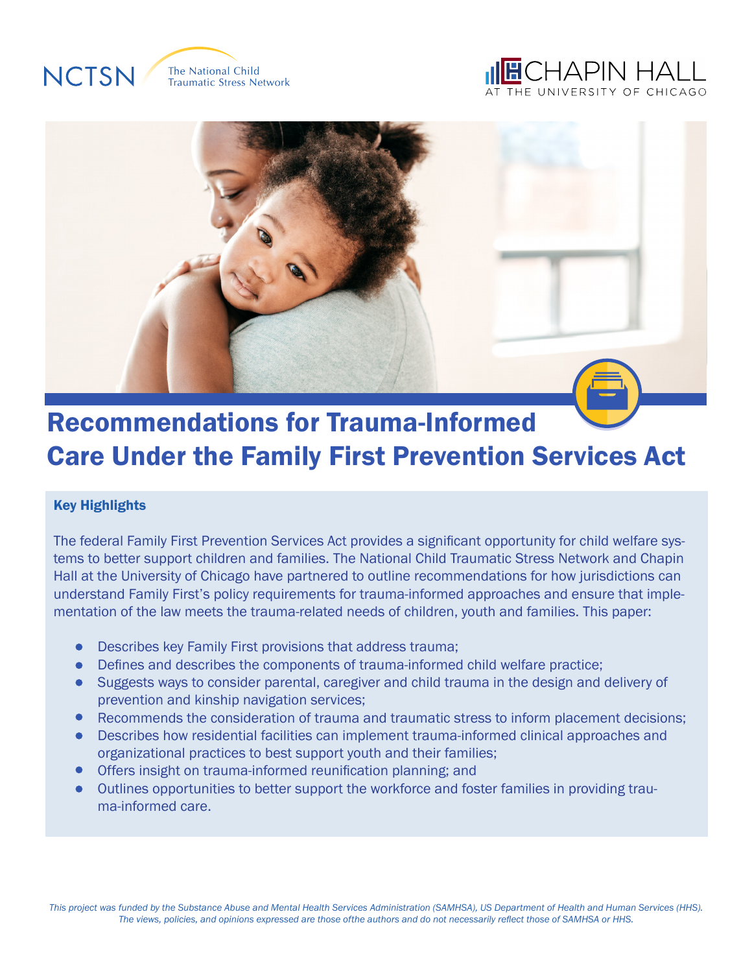

The National Child **Traumatic Stress Network** 

# CHAPIN HALL



# Recommendations for Trauma-Informed Care Under the Family First Prevention Services Act

# Key Highlights

The federal Family First Prevention Services Act provides a significant opportunity for child welfare systems to better support children and families. The National Child Traumatic Stress Network and Chapin Hall at the University of Chicago have partnered to outline recommendations for how jurisdictions can understand Family First's policy requirements for trauma-informed approaches and ensure that implementation of the law meets the trauma-related needs of children, youth and families. This paper:

- Describes key Family First provisions that address trauma;  $\bullet$
- Defines and describes the components of trauma-informed child welfare practice;  $\bullet$
- Suggests ways to consider parental, caregiver and child trauma in the design and delivery of prevention and kinship navigation services;
- $\bullet$ Recommends the consideration of trauma and traumatic stress to inform placement decisions;
- Describes how residential facilities can implement trauma-informed clinical approaches and  $\bullet$ organizational practices to best support youth and their families;
- Offers insight on trauma-informed reunification planning; and
- Outlines opportunities to better support the workforce and foster families in providing trau ma-informed care.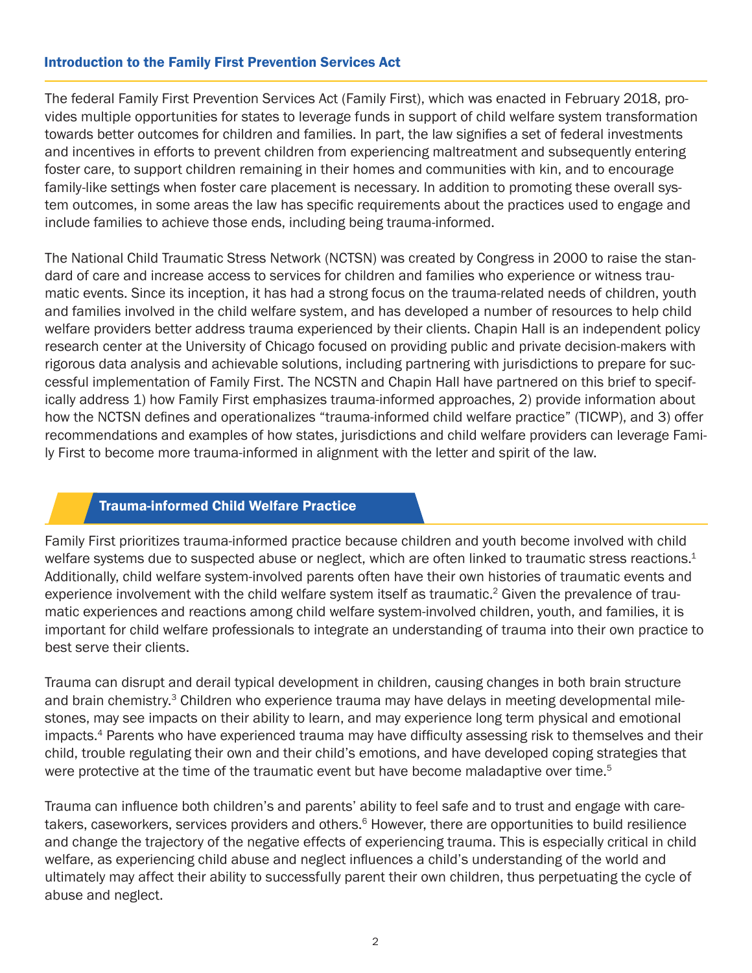#### Introduction to the Family First Prevention Services Act

The federal Family First Prevention Services Act (Family First), which was enacted in February 2018, provides multiple opportunities for states to leverage funds in support of child welfare system transformation towards better outcomes for children and families. In part, the law signifies a set of federal investments and incentives in efforts to prevent children from experiencing maltreatment and subsequently entering foster care, to support children remaining in their homes and communities with kin, and to encourage family-like settings when foster care placement is necessary. In addition to promoting these overall system outcomes, in some areas the law has specific requirements about the practices used to engage and include families to achieve those ends, including being trauma-informed.

The National Child Traumatic Stress Network (NCTSN) was created by Congress in 2000 to raise the standard of care and increase access to services for children and families who experience or witness traumatic events. Since its inception, it has had a strong focus on the trauma-related needs of children, youth and families involved in the child welfare system, and has developed a number of resources to help child welfare providers better address trauma experienced by their clients. Chapin Hall is an independent policy research center at the University of Chicago focused on providing public and private decision-makers with rigorous data analysis and achievable solutions, including partnering with jurisdictions to prepare for successful implementation of Family First. The NCSTN and Chapin Hall have partnered on this brief to specifically address 1) how Family First emphasizes trauma-informed approaches, 2) provide information about how the NCTSN defines and operationalizes "trauma-informed child welfare practice" (TICWP), and 3) offer recommendations and examples of how states, jurisdictions and child welfare providers can leverage Family First to become more trauma-informed in alignment with the letter and spirit of the law.

#### Trauma-informed Child Welfare Practice

Family First prioritizes trauma-informed practice because children and youth become involved with child welfare systems due to suspected abuse or neglect, which are often linked to traumatic stress reactions. $1$ Additionally, child welfare system-involved parents often have their own histories of traumatic events and experience involvement with the child welfare system itself as traumatic.<sup>2</sup> Given the prevalence of traumatic experiences and reactions among child welfare system-involved children, youth, and families, it is important for child welfare professionals to integrate an understanding of trauma into their own practice to best serve their clients.

Trauma can disrupt and derail typical development in children, causing changes in both brain structure and brain chemistry.<sup>3</sup> Children who experience trauma may have delays in meeting developmental milestones, may see impacts on their ability to learn, and may experience long term physical and emotional impacts.<sup>4</sup> Parents who have experienced trauma may have difficulty assessing risk to themselves and their child, trouble regulating their own and their child's emotions, and have developed coping strategies that were protective at the time of the traumatic event but have become maladaptive over time.<sup>5</sup>

Trauma can influence both children's and parents' ability to feel safe and to trust and engage with caretakers, caseworkers, services providers and others.<sup>6</sup> However, there are opportunities to build resilience and change the trajectory of the negative effects of experiencing trauma. This is especially critical in child welfare, as experiencing child abuse and neglect influences a child's understanding of the world and ultimately may affect their ability to successfully parent their own children, thus perpetuating the cycle of abuse and neglect.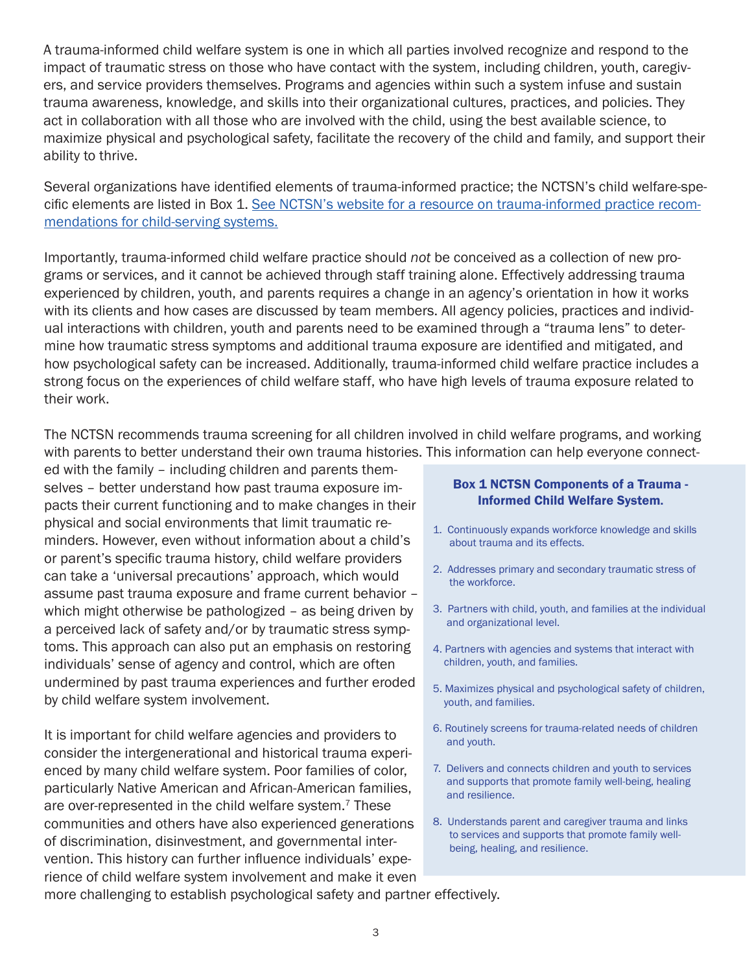A trauma-informed child welfare system is one in which all parties involved recognize and respond to the impact of traumatic stress on those who have contact with the system, including children, youth, caregivers, and service providers themselves. Programs and agencies within such a system infuse and sustain trauma awareness, knowledge, and skills into their organizational cultures, practices, and policies. They act in collaboration with all those who are involved with the child, using the best available science, to maximize physical and psychological safety, facilitate the recovery of the child and family, and support their ability to thrive.

Several organizations have identified elements of trauma-informed practice; the NCTSN's child welfare-specific elements are listed in Box 1. [See NCTSN's website for a resource on trauma-informed practice recom](https://www.nctsn.org/trauma-informed-care/creating-trauma-informed-systems)[mendations for child-serving systems.](https://www.nctsn.org/trauma-informed-care/creating-trauma-informed-systems)

Importantly, trauma-informed child welfare practice should *not* be conceived as a collection of new programs or services, and it cannot be achieved through staff training alone. Effectively addressing trauma experienced by children, youth, and parents requires a change in an agency's orientation in how it works with its clients and how cases are discussed by team members. All agency policies, practices and individual interactions with children, youth and parents need to be examined through a "trauma lens" to determine how traumatic stress symptoms and additional trauma exposure are identified and mitigated, and how psychological safety can be increased. Additionally, trauma-informed child welfare practice includes a strong focus on the experiences of child welfare staff, who have high levels of trauma exposure related to their work.

The NCTSN recommends trauma screening for all children involved in child welfare programs, and working with parents to better understand their own trauma histories. This information can help everyone connect-

ed with the family – including children and parents themselves – better understand how past trauma exposure impacts their current functioning and to make changes in their physical and social environments that limit traumatic reminders. However, even without information about a child's or parent's specific trauma history, child welfare providers can take a 'universal precautions' approach, which would assume past trauma exposure and frame current behavior – which might otherwise be pathologized – as being driven by a perceived lack of safety and/or by traumatic stress symptoms. This approach can also put an emphasis on restoring individuals' sense of agency and control, which are often undermined by past trauma experiences and further eroded by child welfare system involvement.

It is important for child welfare agencies and providers to consider the intergenerational and historical trauma experienced by many child welfare system. Poor families of color, particularly Native American and African-American families, are over-represented in the child welfare system.<sup>7</sup> These communities and others have also experienced generations of discrimination, disinvestment, and governmental intervention. This history can further influence individuals' experience of child welfare system involvement and make it even

#### Box 1 NCTSN Components of a Trauma - Informed Child Welfare System.

- 1. Continuously expands workforce knowledge and skills about trauma and its effects.
- 2. Addresses primary and secondary traumatic stress of the workforce.
- 3. Partners with child, youth, and families at the individual and organizational level.
- 4. Partners with agencies and systems that interact with children, youth, and families.
- 5. Maximizes physical and psychological safety of children, youth, and families.
- 6. Routinely screens for trauma-related needs of children and youth.
- 7. Delivers and connects children and youth to services and supports that promote family well-being, healing and resilience.
- 8. Understands parent and caregiver trauma and links to services and supports that promote family well being, healing, and resilience.

more challenging to establish psychological safety and partner effectively.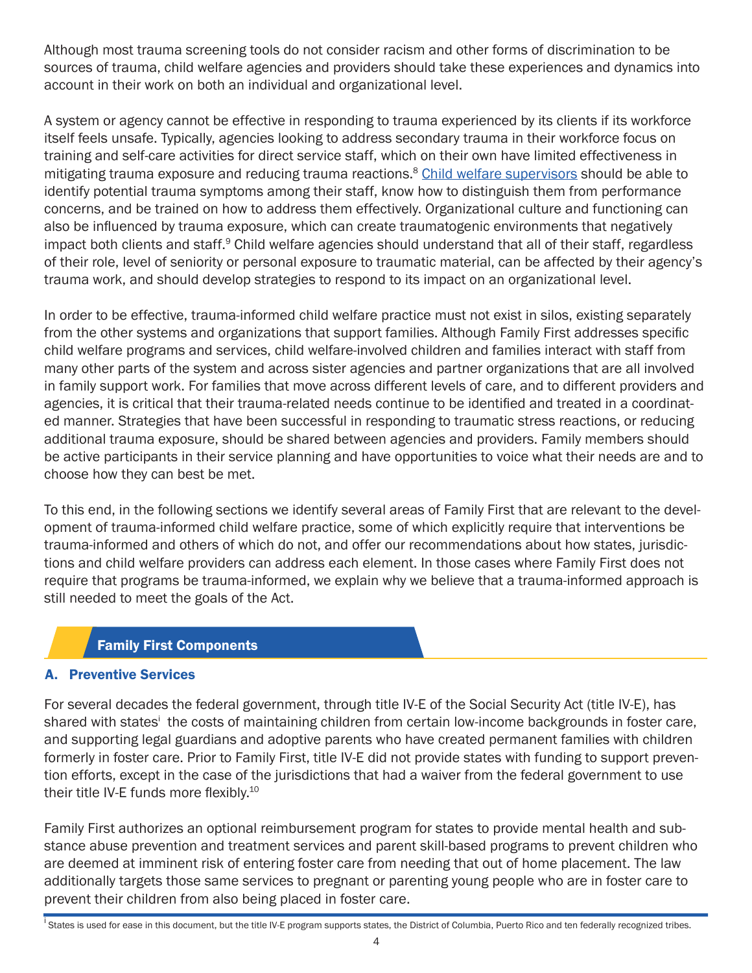Although most trauma screening tools do not consider racism and other forms of discrimination to be sources of trauma, child welfare agencies and providers should take these experiences and dynamics into account in their work on both an individual and organizational level.

A system or agency cannot be effective in responding to trauma experienced by its clients if its workforce itself feels unsafe. Typically, agencies looking to address secondary trauma in their workforce focus on training and self-care activities for direct service staff, which on their own have limited effectiveness in mitigating trauma exposure and reducing trauma reactions.<sup>8</sup> [Child welfare supervisors](https://www.nctsn.org/sites/default/files/resources/secondary_trauma_child_welfare_staff_guidance_for_supervisors.pdf) should be able to identify potential trauma symptoms among their staff, know how to distinguish them from performance concerns, and be trained on how to address them effectively. Organizational culture and functioning can also be influenced by trauma exposure, which can create traumatogenic environments that negatively impact both clients and staff.<sup>9</sup> Child welfare agencies should understand that all of their staff, regardless of their role, level of seniority or personal exposure to traumatic material, can be affected by their agency's trauma work, and should develop strategies to respond to its impact on an organizational level.

In order to be effective, trauma-informed child welfare practice must not exist in silos, existing separately from the other systems and organizations that support families. Although Family First addresses specific child welfare programs and services, child welfare-involved children and families interact with staff from many other parts of the system and across sister agencies and partner organizations that are all involved in family support work. For families that move across different levels of care, and to different providers and agencies, it is critical that their trauma-related needs continue to be identified and treated in a coordinated manner. Strategies that have been successful in responding to traumatic stress reactions, or reducing additional trauma exposure, should be shared between agencies and providers. Family members should be active participants in their service planning and have opportunities to voice what their needs are and to choose how they can best be met.

To this end, in the following sections we identify several areas of Family First that are relevant to the development of trauma-informed child welfare practice, some of which explicitly require that interventions be trauma-informed and others of which do not, and offer our recommendations about how states, jurisdictions and child welfare providers can address each element. In those cases where Family First does not require that programs be trauma-informed, we explain why we believe that a trauma-informed approach is still needed to meet the goals of the Act.

# Family First Components

# A. Preventive Services

For several decades the federal government, through title IV-E of the Social Security Act (title IV-E), has shared with states<sup>i</sup>the costs of maintaining children from certain low-income backgrounds in foster care, and supporting legal guardians and adoptive parents who have created permanent families with children formerly in foster care. Prior to Family First, title IV-E did not provide states with funding to support prevention efforts, except in the case of the jurisdictions that had a waiver from the federal government to use their title IV-E funds more flexibly.10

Family First authorizes an optional reimbursement program for states to provide mental health and substance abuse prevention and treatment services and parent skill-based programs to prevent children who are deemed at imminent risk of entering foster care from needing that out of home placement. The law additionally targets those same services to pregnant or parenting young people who are in foster care to prevent their children from also being placed in foster care.

<sup>&</sup>lt;sup>1</sup> States is used for ease in this document, but the title IV-E program supports states, the District of Columbia, Puerto Rico and ten federally recognized tribes.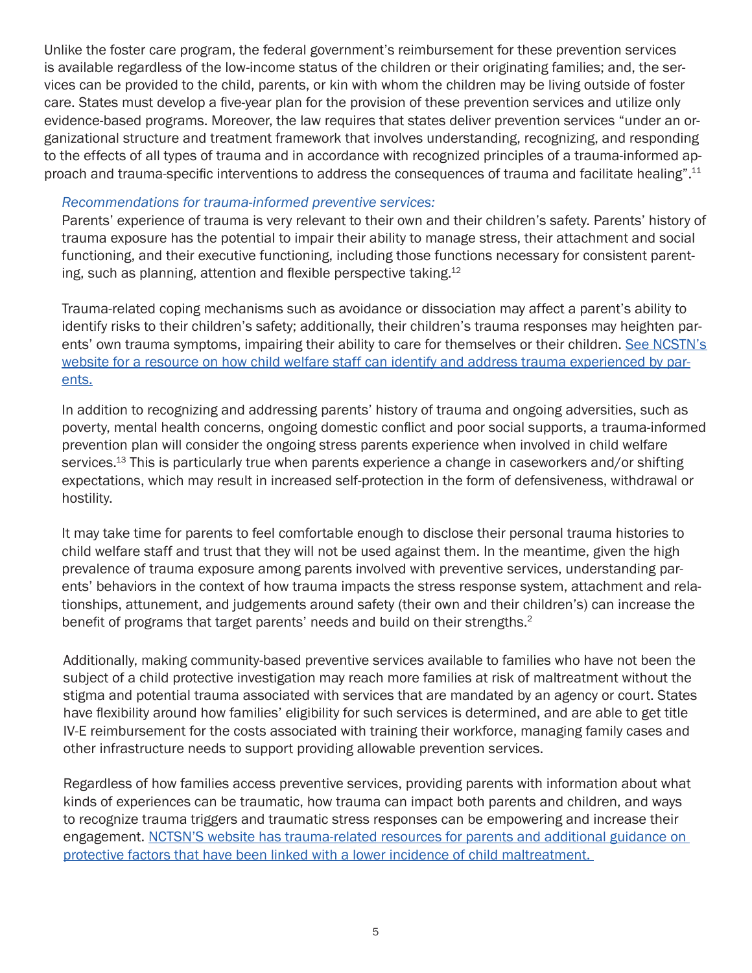Unlike the foster care program, the federal government's reimbursement for these prevention services is available regardless of the low-income status of the children or their originating families; and, the services can be provided to the child, parents, or kin with whom the children may be living outside of foster care. States must develop a five-year plan for the provision of these prevention services and utilize only evidence-based programs. Moreover, the law requires that states deliver prevention services "under an organizational structure and treatment framework that involves understanding, recognizing, and responding to the effects of all types of trauma and in accordance with recognized principles of a trauma-informed approach and trauma-specific interventions to address the consequences of trauma and facilitate healing".11

#### *Recommendations for trauma-informed preventive services:*

Parents' experience of trauma is very relevant to their own and their children's safety. Parents' history of trauma exposure has the potential to impair their ability to manage stress, their attachment and social functioning, and their executive functioning, including those functions necessary for consistent parenting, such as planning, attention and flexible perspective taking.<sup>12</sup>

Trauma-related coping mechanisms such as avoidance or dissociation may affect a parent's ability to identify risks to their children's safety; additionally, their children's trauma responses may heighten parents' own trauma symptoms, impairing their ability to care for themselves or their children. See NCSTN's [website for a resource on how child welfare staff can identify and address trauma experienced by par](https://www.nctsn.org/resources/working-parents-involved-child-welfare-systemparents-involved-child-welfare-system)[ents.](https://www.nctsn.org/resources/working-parents-involved-child-welfare-systemparents-involved-child-welfare-system)

In addition to recognizing and addressing parents' history of trauma and ongoing adversities, such as poverty, mental health concerns, ongoing domestic conflict and poor social supports, a trauma-informed prevention plan will consider the ongoing stress parents experience when involved in child welfare services.<sup>13</sup> This is particularly true when parents experience a change in caseworkers and/or shifting expectations, which may result in increased self-protection in the form of defensiveness, withdrawal or hostility.

It may take time for parents to feel comfortable enough to disclose their personal trauma histories to child welfare staff and trust that they will not be used against them. In the meantime, given the high prevalence of trauma exposure among parents involved with preventive services, understanding parents' behaviors in the context of how trauma impacts the stress response system, attachment and relationships, attunement, and judgements around safety (their own and their children's) can increase the benefit of programs that target parents' needs and build on their strengths.<sup>2</sup>

Additionally, making community-based preventive services available to families who have not been the subject of a child protective investigation may reach more families at risk of maltreatment without the stigma and potential trauma associated with services that are mandated by an agency or court. States have flexibility around how families' eligibility for such services is determined, and are able to get title IV-E reimbursement for the costs associated with training their workforce, managing family cases and other infrastructure needs to support providing allowable prevention services.

Regardless of how families access preventive services, providing parents with information about what kinds of experiences can be traumatic, how trauma can impact both parents and children, and ways to recognize trauma triggers and traumatic stress responses can be empowering and increase their engagement. NCTSN'S website has trauma-related resources for parents and additional guidance on [protective factors that have been linked with a lower incidence of child maltreatment.](https://www.nctsn.org/resources/birth-parents-trauma-histories-child-welfare-system-guide-parents)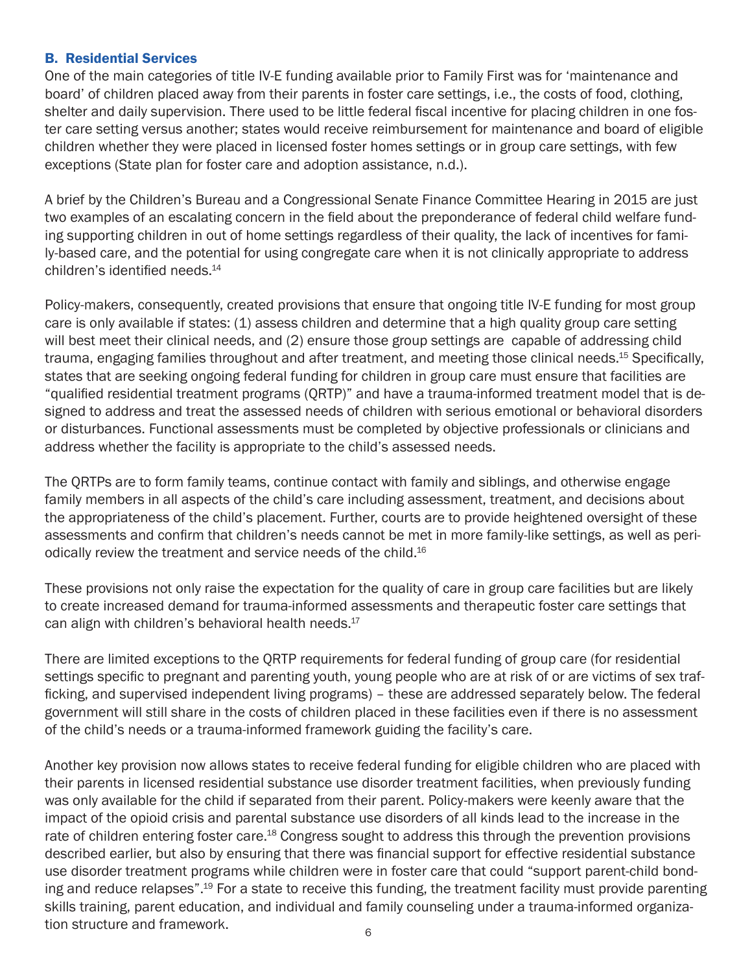#### B. Residential Services

One of the main categories of title IV-E funding available prior to Family First was for 'maintenance and board' of children placed away from their parents in foster care settings, i.e., the costs of food, clothing, shelter and daily supervision. There used to be little federal fiscal incentive for placing children in one foster care setting versus another; states would receive reimbursement for maintenance and board of eligible children whether they were placed in licensed foster homes settings or in group care settings, with few exceptions (State plan for foster care and adoption assistance, n.d.).

A brief by the Children's Bureau and a Congressional Senate Finance Committee Hearing in 2015 are just two examples of an escalating concern in the field about the preponderance of federal child welfare funding supporting children in out of home settings regardless of their quality, the lack of incentives for family-based care, and the potential for using congregate care when it is not clinically appropriate to address children's identified needs.<sup>14</sup>

Policy-makers, consequently, created provisions that ensure that ongoing title IV-E funding for most group care is only available if states: (1) assess children and determine that a high quality group care setting will best meet their clinical needs, and (2) ensure those group settings are capable of addressing child trauma, engaging families throughout and after treatment, and meeting those clinical needs.<sup>15</sup> Specifically, states that are seeking ongoing federal funding for children in group care must ensure that facilities are "qualified residential treatment programs (QRTP)" and have a trauma-informed treatment model that is designed to address and treat the assessed needs of children with serious emotional or behavioral disorders or disturbances. Functional assessments must be completed by objective professionals or clinicians and address whether the facility is appropriate to the child's assessed needs.

The QRTPs are to form family teams, continue contact with family and siblings, and otherwise engage family members in all aspects of the child's care including assessment, treatment, and decisions about the appropriateness of the child's placement. Further, courts are to provide heightened oversight of these assessments and confirm that children's needs cannot be met in more family-like settings, as well as periodically review the treatment and service needs of the child.<sup>16</sup>

These provisions not only raise the expectation for the quality of care in group care facilities but are likely to create increased demand for trauma-informed assessments and therapeutic foster care settings that can align with children's behavioral health needs. $17$ 

There are limited exceptions to the QRTP requirements for federal funding of group care (for residential settings specific to pregnant and parenting youth, young people who are at risk of or are victims of sex trafficking, and supervised independent living programs) – these are addressed separately below. The federal government will still share in the costs of children placed in these facilities even if there is no assessment of the child's needs or a trauma-informed framework guiding the facility's care.

Another key provision now allows states to receive federal funding for eligible children who are placed with their parents in licensed residential substance use disorder treatment facilities, when previously funding was only available for the child if separated from their parent. Policy-makers were keenly aware that the impact of the opioid crisis and parental substance use disorders of all kinds lead to the increase in the rate of children entering foster care.<sup>18</sup> Congress sought to address this through the prevention provisions described earlier, but also by ensuring that there was financial support for effective residential substance use disorder treatment programs while children were in foster care that could "support parent-child bonding and reduce relapses".<sup>19</sup> For a state to receive this funding, the treatment facility must provide parenting skills training, parent education, and individual and family counseling under a trauma-informed organization structure and framework. 6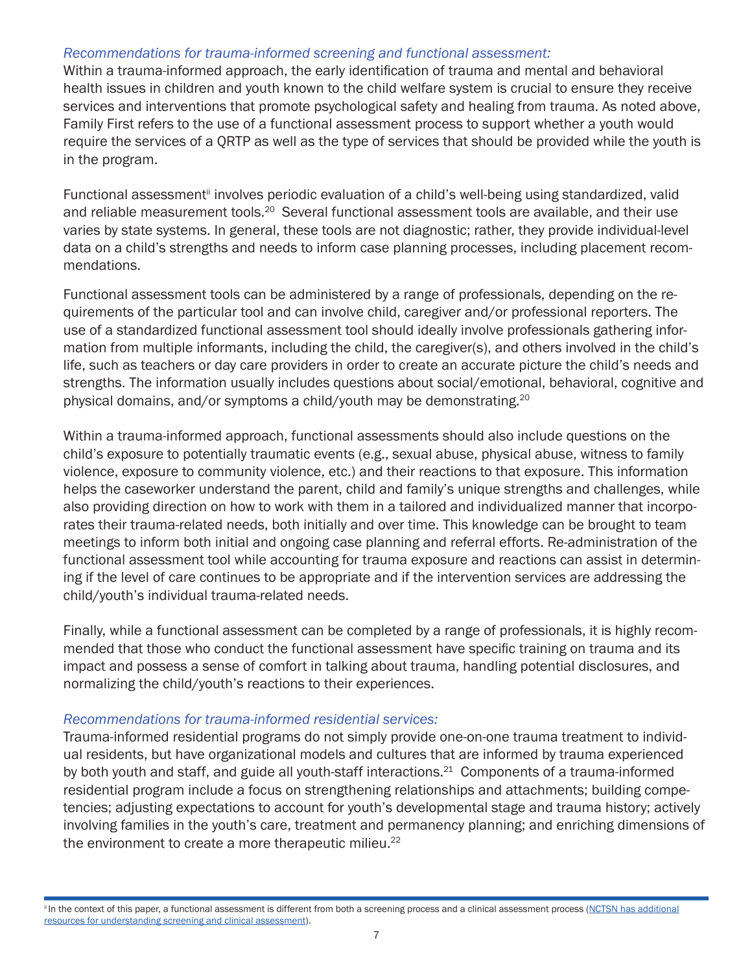#### *Recommendations for trauma-informed screening and functional assessment:*

Within a trauma-informed approach, the early identification of trauma and mental and behavioral health issues in children and youth known to the child welfare system is crucial to ensure they receive services and interventions that promote psychological safety and healing from trauma. As noted above, Family First refers to the use of a functional assessment process to support whether a youth would require the services of a QRTP as well as the type of services that should be provided while the youth is in the program.

Functional assessment<sup>ii</sup> involves periodic evaluation of a child's well-being using standardized, valid and reliable measurement tools.<sup>20</sup> Several functional assessment tools are available, and their use varies by state systems. In general, these tools are not diagnostic; rather, they provide individual-level data on a child's strengths and needs to inform case planning processes, including placement recommendations.

Functional assessment tools can be administered by a range of professionals, depending on the requirements of the particular tool and can involve child, caregiver and/or professional reporters. The use of a standardized functional assessment tool should ideally involve professionals gathering information from multiple informants, including the child, the caregiver(s), and others involved in the child's life, such as teachers or day care providers in order to create an accurate picture the child's needs and strengths. The information usually includes questions about social/emotional, behavioral, cognitive and physical domains, and/or symptoms a child/youth may be demonstrating.20

Within a trauma-informed approach, functional assessments should also include questions on the child's exposure to potentially traumatic events (e.g., sexual abuse, physical abuse, witness to family violence, exposure to community violence, etc.) and their reactions to that exposure. This information helps the caseworker understand the parent, child and family's unique strengths and challenges, while also providing direction on how to work with them in a tailored and individualized manner that incorporates their trauma-related needs, both initially and over time. This knowledge can be brought to team meetings to inform both initial and ongoing case planning and referral efforts. Re-administration of the functional assessment tool while accounting for trauma exposure and reactions can assist in determining if the level of care continues to be appropriate and if the intervention services are addressing the child/youth's individual trauma-related needs.

Finally, while a functional assessment can be completed by a range of professionals, it is highly recommended that those who conduct the functional assessment have specific training on trauma and its impact and possess a sense of comfort in talking about trauma, handling potential disclosures, and normalizing the child/youth's reactions to their experiences.

#### *Recommendations for trauma-informed residential services:*

Trauma-informed residential programs do not simply provide one-on-one trauma treatment to individual residents, but have organizational models and cultures that are informed by trauma experienced by both youth and staff, and guide all youth-staff interactions.<sup>21</sup> Components of a trauma-informed residential program include a focus on strengthening relationships and attachments; building competencies; adjusting expectations to account for youth's developmental stage and trauma history; actively involving families in the youth's care, treatment and permanency planning; and enriching dimensions of the environment to create a more therapeutic milieu.<sup>22</sup>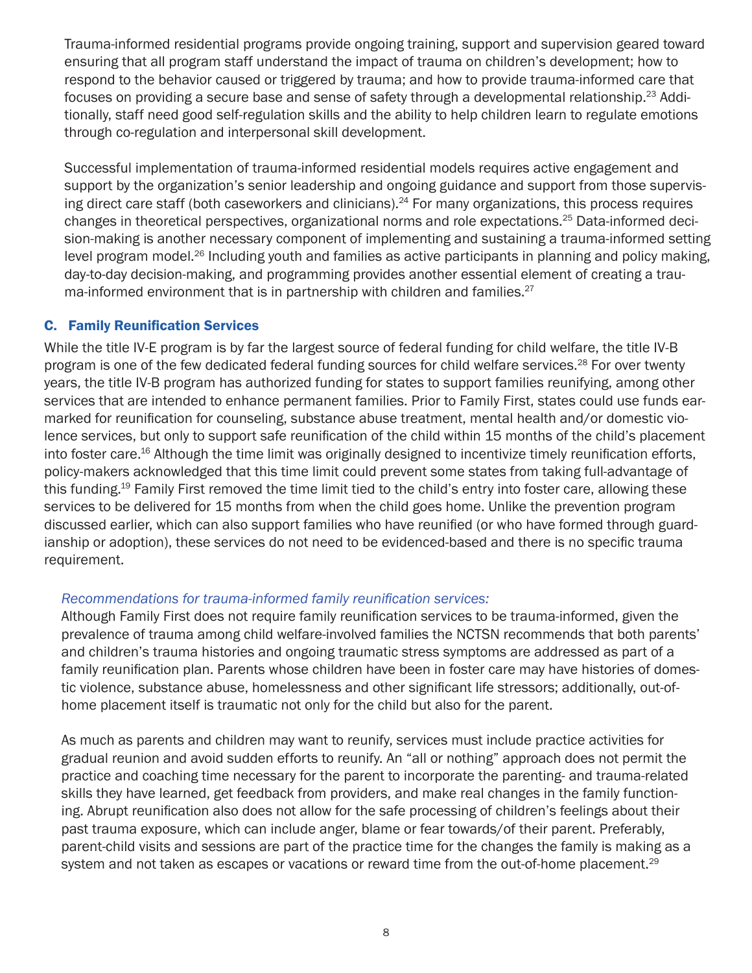Trauma-informed residential programs provide ongoing training, support and supervision geared toward ensuring that all program staff understand the impact of trauma on children's development; how to respond to the behavior caused or triggered by trauma; and how to provide trauma-informed care that focuses on providing a secure base and sense of safety through a developmental relationship.23 Additionally, staff need good self-regulation skills and the ability to help children learn to regulate emotions through co-regulation and interpersonal skill development.

Successful implementation of trauma-informed residential models requires active engagement and support by the organization's senior leadership and ongoing guidance and support from those supervising direct care staff (both caseworkers and clinicians).<sup>24</sup> For many organizations, this process requires changes in theoretical perspectives, organizational norms and role expectations.25 Data-informed decision-making is another necessary component of implementing and sustaining a trauma-informed setting level program model.<sup>26</sup> Including youth and families as active participants in planning and policy making, day-to-day decision-making, and programming provides another essential element of creating a trauma-informed environment that is in partnership with children and families.<sup>27</sup>

# C. Family Reunification Services

While the title IV-E program is by far the largest source of federal funding for child welfare, the title IV-B program is one of the few dedicated federal funding sources for child welfare services.<sup>28</sup> For over twenty years, the title IV-B program has authorized funding for states to support families reunifying, among other services that are intended to enhance permanent families. Prior to Family First, states could use funds earmarked for reunification for counseling, substance abuse treatment, mental health and/or domestic violence services, but only to support safe reunification of the child within 15 months of the child's placement into foster care.<sup>16</sup> Although the time limit was originally designed to incentivize timely reunification efforts, policy-makers acknowledged that this time limit could prevent some states from taking full-advantage of this funding.19 Family First removed the time limit tied to the child's entry into foster care, allowing these services to be delivered for 15 months from when the child goes home. Unlike the prevention program discussed earlier, which can also support families who have reunified (or who have formed through guardianship or adoption), these services do not need to be evidenced-based and there is no specific trauma requirement.

# *Recommendations for trauma-informed family reunification services:*

Although Family First does not require family reunification services to be trauma-informed, given the prevalence of trauma among child welfare-involved families the NCTSN recommends that both parents' and children's trauma histories and ongoing traumatic stress symptoms are addressed as part of a family reunification plan. Parents whose children have been in foster care may have histories of domestic violence, substance abuse, homelessness and other significant life stressors; additionally, out-ofhome placement itself is traumatic not only for the child but also for the parent.

As much as parents and children may want to reunify, services must include practice activities for gradual reunion and avoid sudden efforts to reunify. An "all or nothing" approach does not permit the practice and coaching time necessary for the parent to incorporate the parenting- and trauma-related skills they have learned, get feedback from providers, and make real changes in the family functioning. Abrupt reunification also does not allow for the safe processing of children's feelings about their past trauma exposure, which can include anger, blame or fear towards/of their parent. Preferably, parent-child visits and sessions are part of the practice time for the changes the family is making as a system and not taken as escapes or vacations or reward time from the out-of-home placement.<sup>29</sup>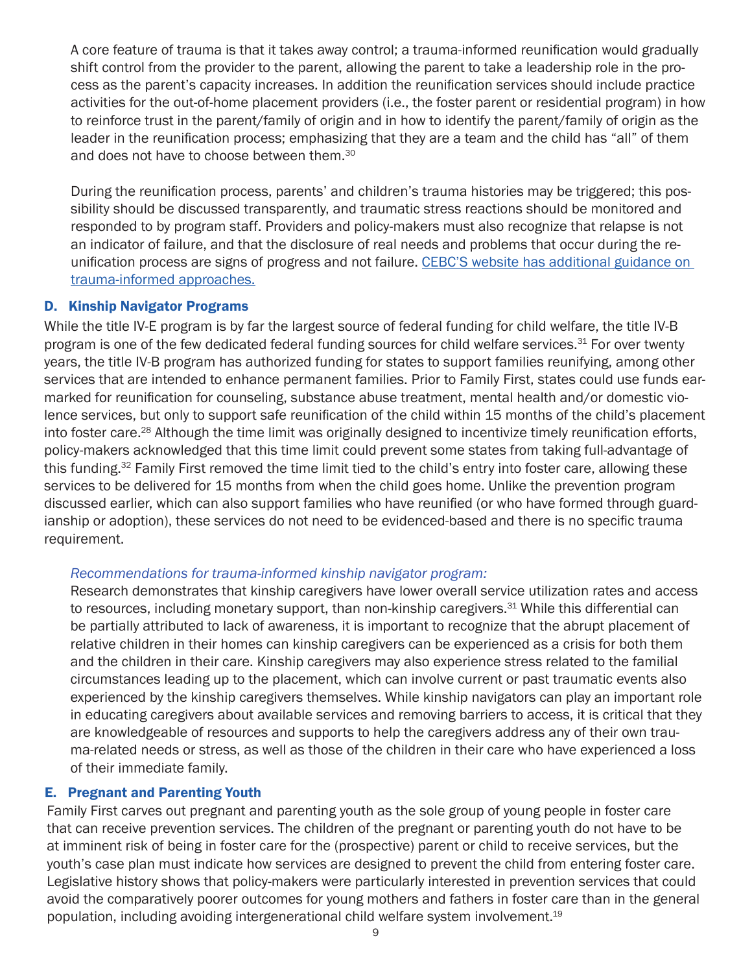A core feature of trauma is that it takes away control; a trauma-informed reunification would gradually shift control from the provider to the parent, allowing the parent to take a leadership role in the process as the parent's capacity increases. In addition the reunification services should include practice activities for the out-of-home placement providers (i.e., the foster parent or residential program) in how to reinforce trust in the parent/family of origin and in how to identify the parent/family of origin as the leader in the reunification process; emphasizing that they are a team and the child has "all" of them and does not have to choose between them.<sup>30</sup>

During the reunification process, parents' and children's trauma histories may be triggered; this possibility should be discussed transparently, and traumatic stress reactions should be monitored and responded to by program staff. Providers and policy-makers must also recognize that relapse is not an indicator of failure, and that the disclosure of real needs and problems that occur during the reunification process are signs of progress and not failure. [CEBC'S website has additional guidance on](https://www.cebc4cw.org/topic/reunification/)  [trauma-informed approaches.](https://www.cebc4cw.org/topic/reunification/)

#### D. Kinship Navigator Programs

While the title IV-E program is by far the largest source of federal funding for child welfare, the title IV-B program is one of the few dedicated federal funding sources for child welfare services.<sup>31</sup> For over twenty years, the title IV-B program has authorized funding for states to support families reunifying, among other services that are intended to enhance permanent families. Prior to Family First, states could use funds earmarked for reunification for counseling, substance abuse treatment, mental health and/or domestic violence services, but only to support safe reunification of the child within 15 months of the child's placement into foster care.<sup>28</sup> Although the time limit was originally designed to incentivize timely reunification efforts, policy-makers acknowledged that this time limit could prevent some states from taking full-advantage of this funding.32 Family First removed the time limit tied to the child's entry into foster care, allowing these services to be delivered for 15 months from when the child goes home. Unlike the prevention program discussed earlier, which can also support families who have reunified (or who have formed through guardianship or adoption), these services do not need to be evidenced-based and there is no specific trauma requirement.

# *Recommendations for trauma-informed kinship navigator program:*

Research demonstrates that kinship caregivers have lower overall service utilization rates and access to resources, including monetary support, than non-kinship caregivers.<sup>31</sup> While this differential can be partially attributed to lack of awareness, it is important to recognize that the abrupt placement of relative children in their homes can kinship caregivers can be experienced as a crisis for both them and the children in their care. Kinship caregivers may also experience stress related to the familial circumstances leading up to the placement, which can involve current or past traumatic events also experienced by the kinship caregivers themselves. While kinship navigators can play an important role in educating caregivers about available services and removing barriers to access, it is critical that they are knowledgeable of resources and supports to help the caregivers address any of their own trauma-related needs or stress, as well as those of the children in their care who have experienced a loss of their immediate family.

#### E. Pregnant and Parenting Youth

Family First carves out pregnant and parenting youth as the sole group of young people in foster care that can receive prevention services. The children of the pregnant or parenting youth do not have to be at imminent risk of being in foster care for the (prospective) parent or child to receive services, but the youth's case plan must indicate how services are designed to prevent the child from entering foster care. Legislative history shows that policy-makers were particularly interested in prevention services that could avoid the comparatively poorer outcomes for young mothers and fathers in foster care than in the general population, including avoiding intergenerational child welfare system involvement.19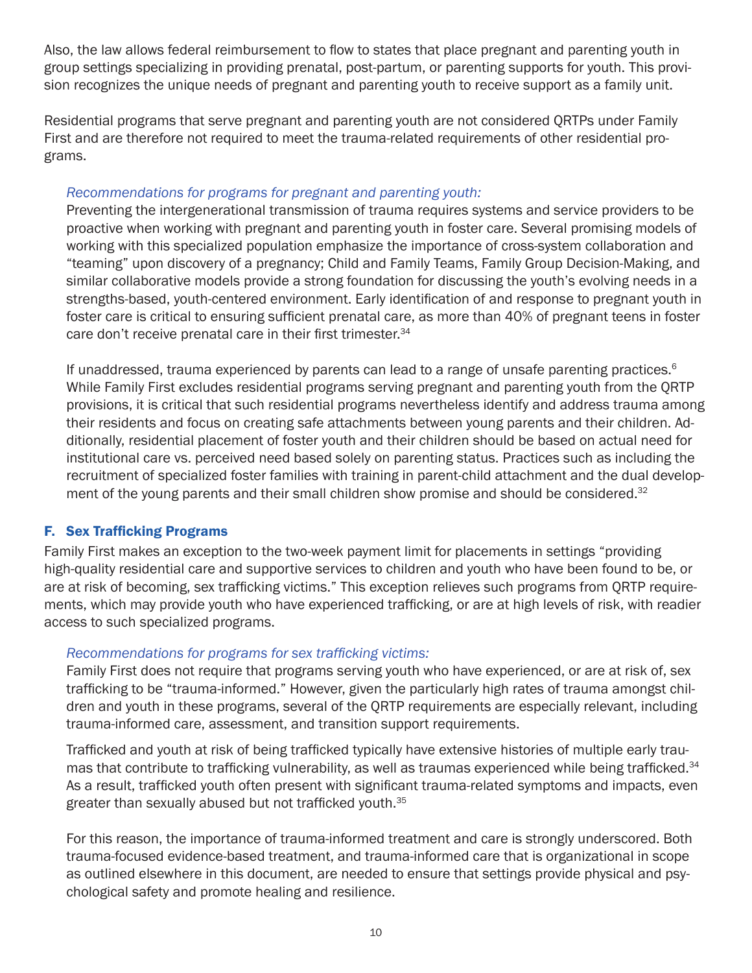Also, the law allows federal reimbursement to flow to states that place pregnant and parenting youth in group settings specializing in providing prenatal, post-partum, or parenting supports for youth. This provision recognizes the unique needs of pregnant and parenting youth to receive support as a family unit.

Residential programs that serve pregnant and parenting youth are not considered QRTPs under Family First and are therefore not required to meet the trauma-related requirements of other residential programs.

# *Recommendations for programs for pregnant and parenting youth:*

Preventing the intergenerational transmission of trauma requires systems and service providers to be proactive when working with pregnant and parenting youth in foster care. Several promising models of working with this specialized population emphasize the importance of cross-system collaboration and "teaming" upon discovery of a pregnancy; Child and Family Teams, Family Group Decision-Making, and similar collaborative models provide a strong foundation for discussing the youth's evolving needs in a strengths-based, youth-centered environment. Early identification of and response to pregnant youth in foster care is critical to ensuring sufficient prenatal care, as more than 40% of pregnant teens in foster care don't receive prenatal care in their first trimester.<sup>34</sup>

If unaddressed, trauma experienced by parents can lead to a range of unsafe parenting practices.<sup>6</sup> While Family First excludes residential programs serving pregnant and parenting youth from the QRTP provisions, it is critical that such residential programs nevertheless identify and address trauma among their residents and focus on creating safe attachments between young parents and their children. Additionally, residential placement of foster youth and their children should be based on actual need for institutional care vs. perceived need based solely on parenting status. Practices such as including the recruitment of specialized foster families with training in parent-child attachment and the dual development of the young parents and their small children show promise and should be considered.<sup>32</sup>

# F. Sex Trafficking Programs

Family First makes an exception to the two-week payment limit for placements in settings "providing high-quality residential care and supportive services to children and youth who have been found to be, or are at risk of becoming, sex trafficking victims." This exception relieves such programs from QRTP requirements, which may provide youth who have experienced trafficking, or are at high levels of risk, with readier access to such specialized programs.

# *Recommendations for programs for sex trafficking victims:*

Family First does not require that programs serving youth who have experienced, or are at risk of, sex trafficking to be "trauma-informed." However, given the particularly high rates of trauma amongst children and youth in these programs, several of the QRTP requirements are especially relevant, including trauma-informed care, assessment, and transition support requirements.

Trafficked and youth at risk of being trafficked typically have extensive histories of multiple early traumas that contribute to trafficking vulnerability, as well as traumas experienced while being trafficked.<sup>34</sup> As a result, trafficked youth often present with significant trauma-related symptoms and impacts, even greater than sexually abused but not trafficked youth.<sup>35</sup>

For this reason, the importance of trauma-informed treatment and care is strongly underscored. Both trauma-focused evidence-based treatment, and trauma-informed care that is organizational in scope as outlined elsewhere in this document, are needed to ensure that settings provide physical and psychological safety and promote healing and resilience.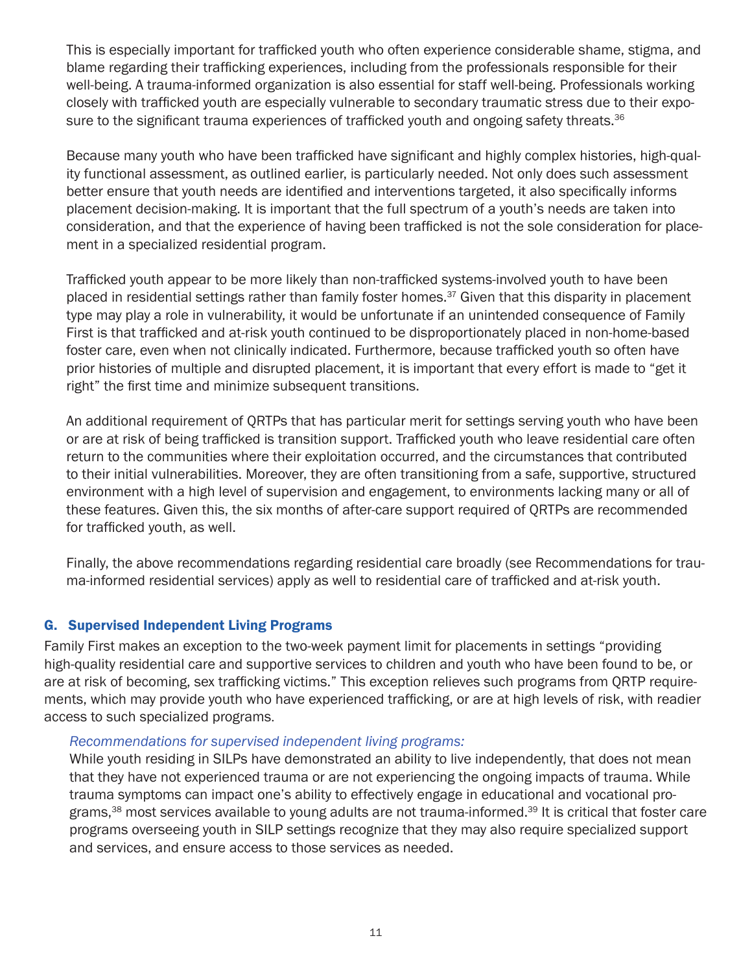This is especially important for trafficked youth who often experience considerable shame, stigma, and blame regarding their trafficking experiences, including from the professionals responsible for their well-being. A trauma-informed organization is also essential for staff well-being. Professionals working closely with trafficked youth are especially vulnerable to secondary traumatic stress due to their exposure to the significant trauma experiences of trafficked youth and ongoing safety threats.<sup>36</sup>

Because many youth who have been trafficked have significant and highly complex histories, high-quality functional assessment, as outlined earlier, is particularly needed. Not only does such assessment better ensure that youth needs are identified and interventions targeted, it also specifically informs placement decision-making. It is important that the full spectrum of a youth's needs are taken into consideration, and that the experience of having been trafficked is not the sole consideration for placement in a specialized residential program.

Trafficked youth appear to be more likely than non-trafficked systems-involved youth to have been placed in residential settings rather than family foster homes.<sup>37</sup> Given that this disparity in placement type may play a role in vulnerability, it would be unfortunate if an unintended consequence of Family First is that trafficked and at-risk youth continued to be disproportionately placed in non-home-based foster care, even when not clinically indicated. Furthermore, because trafficked youth so often have prior histories of multiple and disrupted placement, it is important that every effort is made to "get it right" the first time and minimize subsequent transitions.

An additional requirement of QRTPs that has particular merit for settings serving youth who have been or are at risk of being trafficked is transition support. Trafficked youth who leave residential care often return to the communities where their exploitation occurred, and the circumstances that contributed to their initial vulnerabilities. Moreover, they are often transitioning from a safe, supportive, structured environment with a high level of supervision and engagement, to environments lacking many or all of these features. Given this, the six months of after-care support required of QRTPs are recommended for trafficked youth, as well.

Finally, the above recommendations regarding residential care broadly (see Recommendations for trauma-informed residential services) apply as well to residential care of trafficked and at-risk youth.

# G. Supervised Independent Living Programs

Family First makes an exception to the two-week payment limit for placements in settings "providing high-quality residential care and supportive services to children and youth who have been found to be, or are at risk of becoming, sex trafficking victims." This exception relieves such programs from QRTP requirements, which may provide youth who have experienced trafficking, or are at high levels of risk, with readier access to such specialized programs.

# *Recommendations for supervised independent living programs:*

While youth residing in SILPs have demonstrated an ability to live independently, that does not mean that they have not experienced trauma or are not experiencing the ongoing impacts of trauma. While trauma symptoms can impact one's ability to effectively engage in educational and vocational programs,<sup>38</sup> most services available to young adults are not trauma-informed.<sup>39</sup> It is critical that foster care programs overseeing youth in SILP settings recognize that they may also require specialized support and services, and ensure access to those services as needed.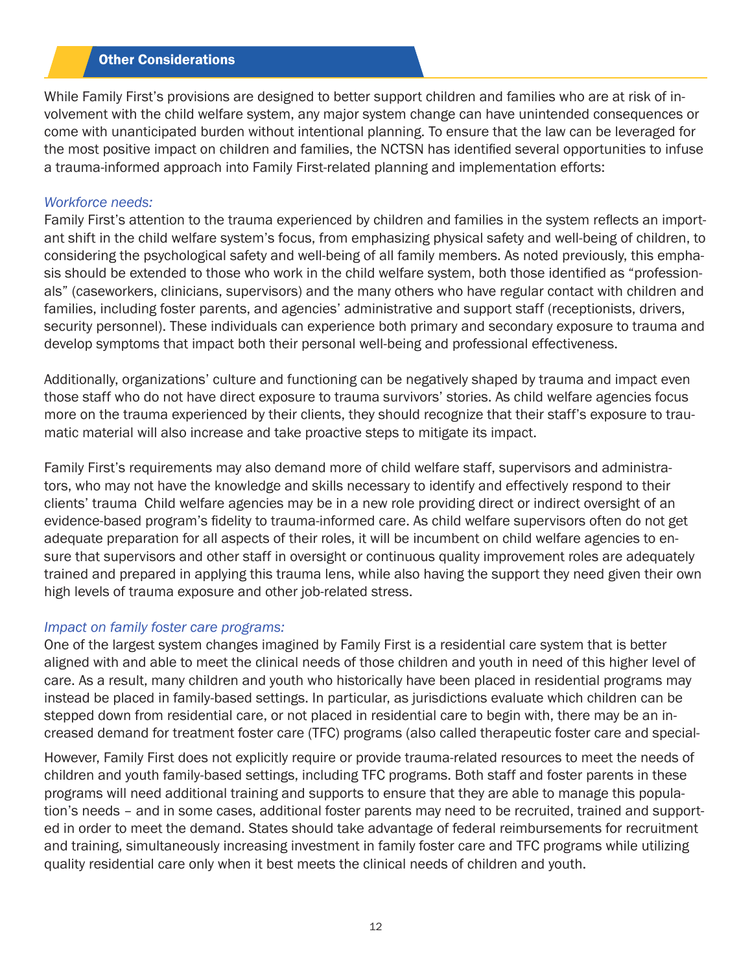#### Other Considerations

While Family First's provisions are designed to better support children and families who are at risk of involvement with the child welfare system, any major system change can have unintended consequences or come with unanticipated burden without intentional planning. To ensure that the law can be leveraged for the most positive impact on children and families, the NCTSN has identified several opportunities to infuse a trauma-informed approach into Family First-related planning and implementation efforts:

#### *Workforce needs:*

Family First's attention to the trauma experienced by children and families in the system reflects an important shift in the child welfare system's focus, from emphasizing physical safety and well-being of children, to considering the psychological safety and well-being of all family members. As noted previously, this emphasis should be extended to those who work in the child welfare system, both those identified as "professionals" (caseworkers, clinicians, supervisors) and the many others who have regular contact with children and families, including foster parents, and agencies' administrative and support staff (receptionists, drivers, security personnel). These individuals can experience both primary and secondary exposure to trauma and develop symptoms that impact both their personal well-being and professional effectiveness.

Additionally, organizations' culture and functioning can be negatively shaped by trauma and impact even those staff who do not have direct exposure to trauma survivors' stories. As child welfare agencies focus more on the trauma experienced by their clients, they should recognize that their staff's exposure to traumatic material will also increase and take proactive steps to mitigate its impact.

Family First's requirements may also demand more of child welfare staff, supervisors and administrators, who may not have the knowledge and skills necessary to identify and effectively respond to their clients' trauma Child welfare agencies may be in a new role providing direct or indirect oversight of an evidence-based program's fidelity to trauma-informed care. As child welfare supervisors often do not get adequate preparation for all aspects of their roles, it will be incumbent on child welfare agencies to ensure that supervisors and other staff in oversight or continuous quality improvement roles are adequately trained and prepared in applying this trauma lens, while also having the support they need given their own high levels of trauma exposure and other job-related stress.

#### *Impact on family foster care programs:*

One of the largest system changes imagined by Family First is a residential care system that is better aligned with and able to meet the clinical needs of those children and youth in need of this higher level of care. As a result, many children and youth who historically have been placed in residential programs may instead be placed in family-based settings. In particular, as jurisdictions evaluate which children can be stepped down from residential care, or not placed in residential care to begin with, there may be an increased demand for treatment foster care (TFC) programs (also called therapeutic foster care and special-

However, Family First does not explicitly require or provide trauma-related resources to meet the needs of children and youth family-based settings, including TFC programs. Both staff and foster parents in these programs will need additional training and supports to ensure that they are able to manage this population's needs – and in some cases, additional foster parents may need to be recruited, trained and supported in order to meet the demand. States should take advantage of federal reimbursements for recruitment and training, simultaneously increasing investment in family foster care and TFC programs while utilizing quality residential care only when it best meets the clinical needs of children and youth.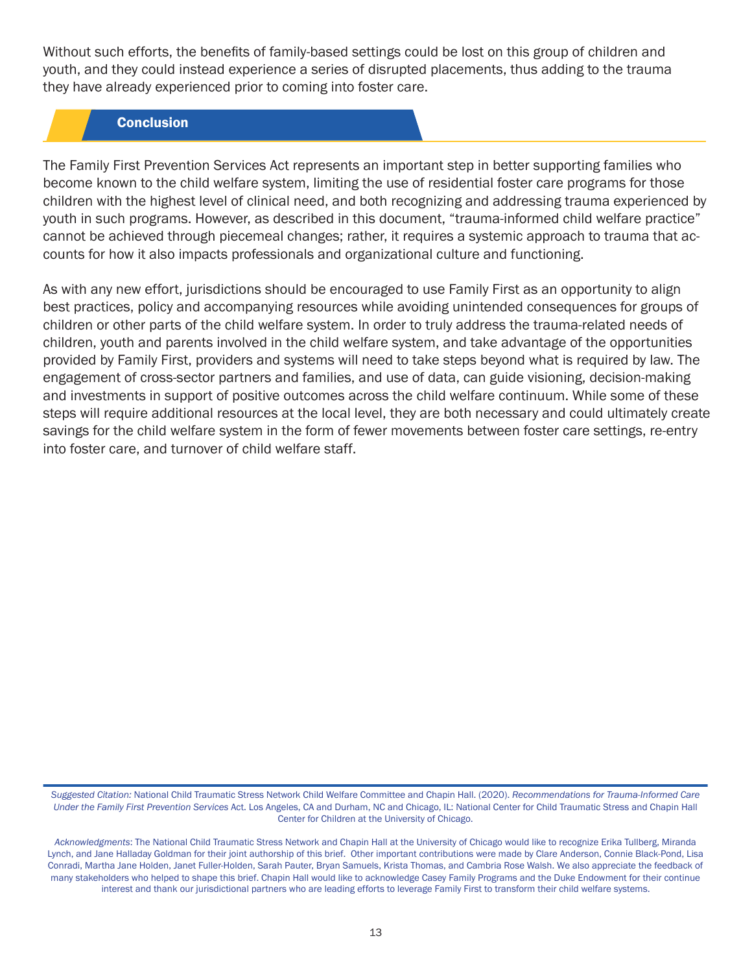Without such efforts, the benefits of family-based settings could be lost on this group of children and youth, and they could instead experience a series of disrupted placements, thus adding to the trauma they have already experienced prior to coming into foster care.

# **Conclusion**

The Family First Prevention Services Act represents an important step in better supporting families who become known to the child welfare system, limiting the use of residential foster care programs for those children with the highest level of clinical need, and both recognizing and addressing trauma experienced by youth in such programs. However, as described in this document, "trauma-informed child welfare practice" cannot be achieved through piecemeal changes; rather, it requires a systemic approach to trauma that accounts for how it also impacts professionals and organizational culture and functioning.

As with any new effort, jurisdictions should be encouraged to use Family First as an opportunity to align best practices, policy and accompanying resources while avoiding unintended consequences for groups of children or other parts of the child welfare system. In order to truly address the trauma-related needs of children, youth and parents involved in the child welfare system, and take advantage of the opportunities provided by Family First, providers and systems will need to take steps beyond what is required by law. The engagement of cross-sector partners and families, and use of data, can guide visioning, decision-making and investments in support of positive outcomes across the child welfare continuum. While some of these steps will require additional resources at the local level, they are both necessary and could ultimately create savings for the child welfare system in the form of fewer movements between foster care settings, re-entry into foster care, and turnover of child welfare staff.

*Suggested Citation:* National Child Traumatic Stress Network Child Welfare Committee and Chapin Hall. (2020). *Recommendations for Trauma-Informed Care Under the Family First Prevention Services* Act. Los Angeles, CA and Durham, NC and Chicago, IL: National Center for Child Traumatic Stress and Chapin Hall Center for Children at the University of Chicago.

*Acknowledgments*: The National Child Traumatic Stress Network and Chapin Hall at the University of Chicago would like to recognize Erika Tullberg, Miranda Lynch, and Jane Halladay Goldman for their joint authorship of this brief. Other important contributions were made by Clare Anderson, Connie Black-Pond, Lisa Conradi, Martha Jane Holden, Janet Fuller-Holden, Sarah Pauter, Bryan Samuels, Krista Thomas, and Cambria Rose Walsh. We also appreciate the feedback of many stakeholders who helped to shape this brief. Chapin Hall would like to acknowledge Casey Family Programs and the Duke Endowment for their continue interest and thank our jurisdictional partners who are leading efforts to leverage Family First to transform their child welfare systems.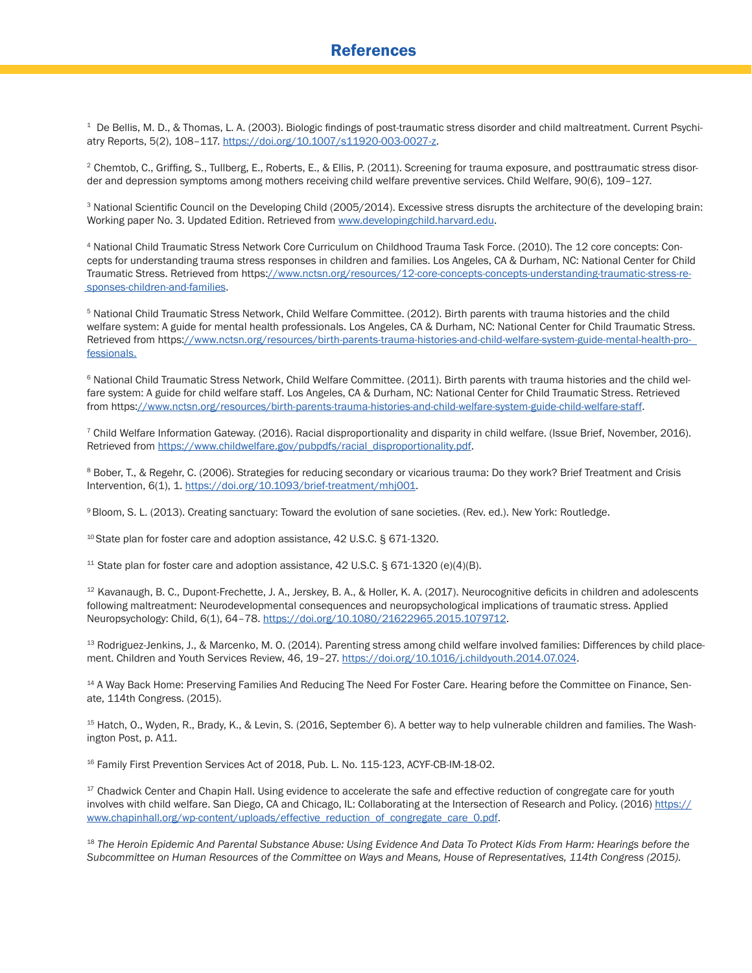1 De Bellis, M. D., & Thomas, L. A. (2003). Biologic findings of post-traumatic stress disorder and child maltreatment. Current Psychi atry Reports, 5(2), 108-117. [https://doi.org/10.1007/s11920-003-0027-z](https://link.springer.com/article/10.1007/s11920-003-0027-z).

<sup>2</sup> Chemtob, C., Griffing, S., Tullberg, E., Roberts, E., & Ellis, P. (2011). Screening for trauma exposure, and posttraumatic stress disorder and depression symptoms among mothers receiving child welfare preventive services. Child Welfare, 90(6), 109–127.

<sup>3</sup> National Scientific Council on the Developing Child (2005/2014). Excessive stress disrupts the architecture of the developing brain: Working paper No. 3. Updated Edition. Retrieved from [www.developingchild.harvard.edu](https://developingchild.harvard.edu/).

<sup>4</sup> National Child Traumatic Stress Network Core Curriculum on Childhood Trauma Task Force. (2010). The 12 core concepts: Con cepts for understanding trauma stress responses in children and families. Los Angeles, CA & Durham, NC: National Center for Child Traumatic Stress. Retrieved from https[://www.nctsn.org/resources/12-core-concepts-concepts-understanding-traumatic-stress-re](https://www.nctsn.org/resources/12-core-concepts-concepts-understanding-traumatic-stress-responses-children-and-families.)  [sponses-children-and-families](https://www.nctsn.org/resources/12-core-concepts-concepts-understanding-traumatic-stress-responses-children-and-families.)[.](http://www.wsipp.wa.gov/BenefitCost%3FtopicId%3D5)

<sup>5</sup> National Child Traumatic Stress Network, Child Welfare Committee. (2012). Birth parents with trauma histories and the child welfare system: A guide for mental health professionals. Los Angeles, CA & Durham, NC: National Center for Child Traumatic Stress. Retrieved from https[://www.nctsn.org/resources/birth-parents-trauma-histories-and-child-welfare-system-guide-mental-health-pro](https://www.nctsn.org/resources/birth-parents-trauma-histories-and-child-welfare-system-guide-mental-health-professionals)  [fessionals.](https://www.nctsn.org/resources/birth-parents-trauma-histories-and-child-welfare-system-guide-mental-health-professionals)

<sup>6</sup> National Child Traumatic Stress Network, Child Welfare Committee. (2011). Birth parents with trauma histories and the child wel fare system: A guide for child welfare staff. Los Angeles, CA & Durham, NC: National Center for Child Traumatic Stress. Retrieved from https[://www.nctsn.org/resources/birth-parents-trauma-histories-and-child-welfare-system-guide-child-welfare-staff.](https://www.nctsn.org/resources/birth-parents-trauma-histories-and-child-welfare-system-guide-child-welfare-staff)

 7 Child Welfare Information Gateway. (2016). Racial disproportionality and disparity in child welfare. (Issue Brief, November, 2016). Retrieved from [https://www.childwelfare.gov/pubpdfs/racial\\_disproportionality.pdf.](https://www.childwelfare.gov/pubpdfs/racial_disproportionality.pdf)

8 Bober, T., & Regehr, C. (2006). Strategies for reducing secondary or vicarious trauma: Do they work? Brief Treatment and Crisis Intervention, 6(1), 1. [https://doi.org/10.1093/brief-treatment/mhj001.](http://mr.crossref.org/iPage%3Fdoi%3D10.1093%252Fbrief-treatment%252Fmhj001)

9 Bloom, S. L. (2013). Creating sanctuary: Toward the evolution of sane societies. (Rev. ed.). New York: Routledge.

 $10$  State plan for foster care and adoption assistance, 42 U.S.C. § 671-1320.

 $11$  State plan for foster care and adoption assistance, 42 U.S.C. § 671-1320 (e)(4)(B).

 $12$  Kavanaugh, B. C., Dupont-Frechette, J. A., Jerskey, B. A., & Holler, K. A. (2017). Neurocognitive deficits in children and adolescents following maltreatment: Neurodevelopmental consequences and neuropsychological implications of traumatic stress. Applied Neuropsychology: Child, 6(1), 64–78. [https://doi.org/10.1080/21622965.2015.1079712](https://www.tandfonline.com/doi/full/10.1080/21622965.2015.1079712).

<sup>13</sup> Rodriguez-Jenkins, J., & Marcenko, M. O. (2014). Parenting stress among child welfare involved families: Differences by child placement. Children and Youth Services Review, 46, 19-27. [https://doi.org/10.1016/j.childyouth.2014.07.024.](https://www.sciencedirect.com/science/article/pii/S0190740914002734%3Fvia%253Dihub)

<sup>14</sup> A Way Back Home: Preserving Families And Reducing The Need For Foster Care. Hearing before the Committee on Finance, Senate, 114th Congress. (2015).

15 Hatch, O., Wyden, R., Brady, K., & Levin, S. (2016, September 6). A better way to help vulnerable children and families. The Wash ington Post, p. A11.

<sup>16</sup> Family First Prevention Services Act of 2018, Pub. L. No. 115-123, ACYF-CB-IM-18-02.

<sup>17</sup> Chadwick Center and Chapin Hall. Using evidence to accelerate the safe and effective reduction of congregate care for youth involves with child welfare. San Diego, CA and Chicago, IL: Collaborating at the Intersection of Research and Policy. (2016) [https://](https://www.chapinhall.org/wp-content/uploads/effective_reduction_of_congregate_care_0.pdf) [www.chapinhall.org/wp-content/uploads/effective\\_reduction\\_of\\_congregate\\_care\\_0.pdf.](https://www.chapinhall.org/wp-content/uploads/effective_reduction_of_congregate_care_0.pdf)

<sup>18</sup> *The Heroin Epidemic And Parental Substance Abuse: Using Evidence And Data To Protect Kids From Harm: Hearings before the Subcommittee on Human Resources of the Committee on Ways and Means, House of Representatives, 114th Congress (2015).*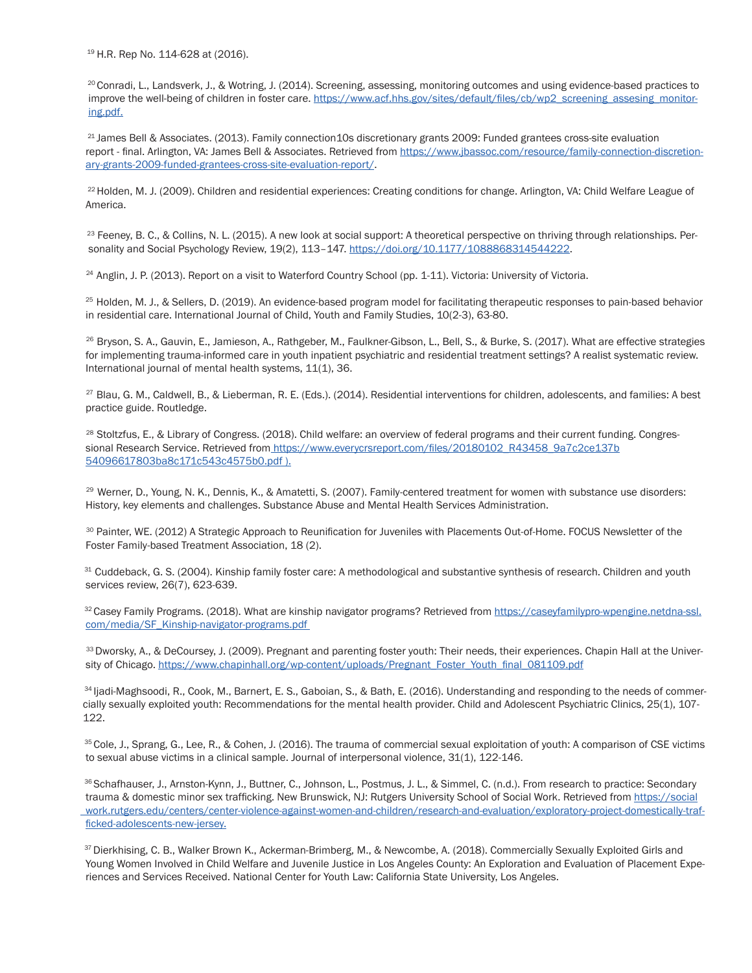<sup>19</sup> H.R. Rep No. 114-628 at (2016).

<sup>20</sup> Conradi, L., Landsverk, J., & Wotring, J. (2014). Screening, assessing, monitoring outcomes and using evidence-based practices to improve the well-being of children in foster care. [https://www.acf.hhs.gov/sites/default/files/cb/wp2\\_screening\\_assesing\\_monitor](https://www.acf.hhs.gov/sites/default/files/cb/wp2_screening_assesing_monitoring.pdf.) [ing.pdf.](https://www.acf.hhs.gov/sites/default/files/cb/wp2_screening_assesing_monitoring.pdf.)

 $21$  James Bell & Associates. (2013). Family connection10s discretionary grants 2009: Funded grantees cross-site evaluation report - final. Arlington, VA: James Bell & Associates. Retrieved from [https://www.jbassoc.com/resource/family-connection-discretion](https://www.jbassoc.com/resource/family-connection-discretionary-grants-2009-funded-grantees-cross-site-evaluation-report/) [ary-grants-2009-funded-grantees-cross-site-evaluation-report/.](https://www.jbassoc.com/resource/family-connection-discretionary-grants-2009-funded-grantees-cross-site-evaluation-report/)

 22 Holden, M. J. (2009). Children and residential experiences: Creating conditions for change. Arlington, VA: Child Welfare League of America.

<sup>23</sup> Feeney, B. C., & Collins, N. L. (2015). A new look at social support: A theoretical perspective on thriving through relationships. Personality and Social Psychology Review, 19(2), 113-147. [https://doi.org/10.1177/1088868314544222](https://journals.sagepub.com/doi/10.1177/1088868314544222).

<sup>24</sup> Anglin, J. P. (2013). Report on a visit to Waterford Country School (pp. 1-11). Victoria: University of Victoria.

 25 Holden, M. J., & Sellers, D. (2019). An evidence-based program model for facilitating therapeutic responses to pain-based behavior in residential care. International Journal of Child, Youth and Family Studies, 10(2-3), 63-80.

<sup>26</sup> Bryson, S. A., Gauvin, E., Jamieson, A., Rathgeber, M., Faulkner-Gibson, L., Bell, S., & Burke, S. (2017). What are effective strategies for implementing trauma-informed care in youth inpatient psychiatric and residential treatment settings? A realist systematic review. International journal of mental health systems, 11(1), 36.

<sup>27</sup> Blau, G. M., Caldwell, B., & Lieberman, R. E. (Eds.). (2014). Residential interventions for children, adolescents, and families: A best practice guide. Routledge.

<sup>28</sup> Stoltzfus, E., & Library of Congress. (2018). Child welfare: an overview of federal programs and their current funding. Congressional Research Service. Retrieved from [https://www.everycrsreport.com/files/20180102\\_R43458\\_9a7c2ce137b](https://www.everycrsreport.com/files/20180102_R43458_9a7c2ce137b54096617803ba8c171c543c4575b0.pdf) [54096617803ba8c171c543c4575b0.pdf](https://www.everycrsreport.com/files/20180102_R43458_9a7c2ce137b54096617803ba8c171c543c4575b0.pdf) ).

<sup>29</sup> Werner, D., Young, N. K., Dennis, K., & Amatetti, S. (2007). Family-centered treatment for women with substance use disorders: History, key elements and challenges. Substance Abuse and Mental Health Services Administration.

 30 Painter, WE. (2012) A Strategic Approach to Reunification for Juveniles with Placements Out-of-Home. FOCUS Newsletter of the Foster Family-based Treatment Association, 18 (2).

31 Cuddeback, G. S. (2004). Kinship family foster care: A methodological and substantive synthesis of research. Children and youth services review, 26(7), 623-639.

<sup>32</sup> Casey Family Programs. (2018). What are kinship navigator programs? Retrieved from [https://caseyfamilypro-wpengine.netdna-ssl.](https://caseyfamilypro-wpengine.netdna-ssl.com/media/SF_Kinship-navigator-programs.pdf) [com/media/SF\\_Kinship-navigator-programs.pdf](https://caseyfamilypro-wpengine.netdna-ssl.com/media/SF_Kinship-navigator-programs.pdf) 

33 Dworsky, A., & DeCoursey, J. (2009). Pregnant and parenting foster youth: Their needs, their experiences. Chapin Hall at the University of Chicago. [https://www.chapinhall.org/wp-content/uploads/Pregnant\\_Foster\\_Youth\\_final\\_081109.pdf](https://www.chapinhall.org/wp-content/uploads/Pregnant_Foster_Youth_final_081109.pdf%0D%0D)

34 Ijadi-Maghsoodi, R., Cook, M., Barnert, E. S., Gaboian, S., & Bath, E. (2016). Understanding and responding to the needs of commer cially sexually exploited youth: Recommendations for the mental health provider. Child and Adolescent Psychiatric Clinics, 25(1), 107- 122.

35 Cole, J., Sprang, G., Lee, R., & Cohen, J. (2016). The trauma of commercial sexual exploitation of youth: A comparison of CSE victims to sexual abuse victims in a clinical sample. Journal of interpersonal violence, 31(1), 122-146.

36 Schafhauser, J., Arnston-Kynn, J., Buttner, C., Johnson, L., Postmus, J. L., & Simmel, C. (n.d.). From research to practice: Secondary trauma & domestic minor sex trafficking. New Brunswick, NJ: Rutgers University School of Social Work. Retrieved from [https://social](https://socialwork.rutgers.edu/centers/center-violence-against-women-and-children/research-and-evaluation/exploratory-project-domestically-trafficked-adolescents-new-jersey) [work.rutgers.edu/centers/center-violence-against-women-and-children/research-and-evaluation/exploratory-project-domestically-traf](https://socialwork.rutgers.edu/centers/center-violence-against-women-and-children/research-and-evaluation/exploratory-project-domestically-trafficked-adolescents-new-jersey) [ficked-adolescents-new-jersey.](https://socialwork.rutgers.edu/centers/center-violence-against-women-and-children/research-and-evaluation/exploratory-project-domestically-trafficked-adolescents-new-jersey)

37 Dierkhising, C. B., Walker Brown K., Ackerman-Brimberg, M., & Newcombe, A. (2018). Commercially Sexually Exploited Girls and Young Women Involved in Child Welfare and Juvenile Justice in Los Angeles County: An Exploration and Evaluation of Placement Expe riences and Services Received. National Center for Youth Law: California State University, Los Angeles.